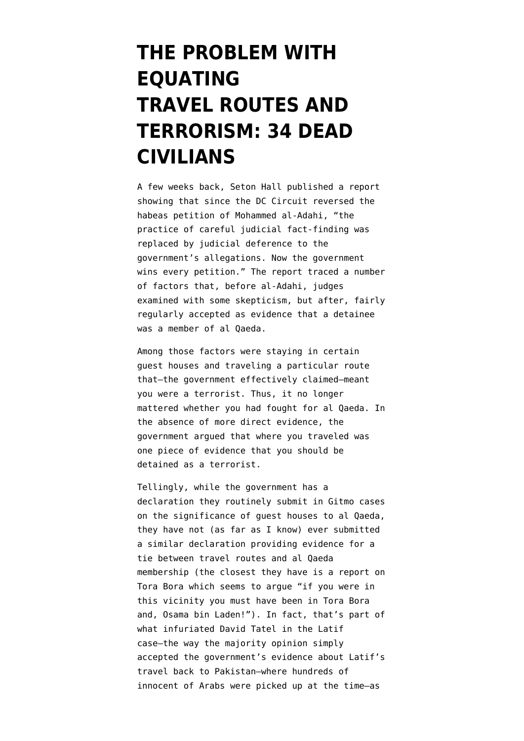# **[THE PROBLEM WITH](https://www.emptywheel.net/2012/05/17/the-problem-with-equating-travel-routes-and-terrorism-34-dead-civilians/) [EQUATING](https://www.emptywheel.net/2012/05/17/the-problem-with-equating-travel-routes-and-terrorism-34-dead-civilians/) [TRAVEL ROUTES AND](https://www.emptywheel.net/2012/05/17/the-problem-with-equating-travel-routes-and-terrorism-34-dead-civilians/) [TERRORISM: 34 DEAD](https://www.emptywheel.net/2012/05/17/the-problem-with-equating-travel-routes-and-terrorism-34-dead-civilians/) [CIVILIANS](https://www.emptywheel.net/2012/05/17/the-problem-with-equating-travel-routes-and-terrorism-34-dead-civilians/)**

A few weeks back, Seton Hall [published a report](javascript:HandleLink() showing that since the DC Circuit reversed the habeas petition of Mohammed al-Adahi, "the practice of careful judicial fact-finding was replaced by judicial deference to the government's allegations. Now the government wins every petition." The report traced a number of factors that, before al-Adahi, judges examined with some skepticism, but after, fairly regularly accepted as evidence that a detainee was a member of al Qaeda.

Among those factors were staying in certain guest houses and traveling a particular route that–the government effectively claimed–meant you were a terrorist. Thus, it no longer mattered whether you had fought for al Qaeda. In the absence of more direct evidence, the government argued that where you traveled was one piece of evidence that you should be detained as a terrorist.

Tellingly, while the government has a declaration they routinely submit in Gitmo cases on the significance of guest houses to al Qaeda, they have not (as far as I know) ever submitted a similar declaration providing evidence for a tie between travel routes and al Qaeda membership (the closest they have is a report on Tora Bora which seems to argue "if you were in this vicinity you must have been in Tora Bora and, Osama bin Laden!"). In fact, that's part of what infuriated David Tatel in the [Latif](http://www.emptywheel.net/wp-content/uploads/2012/05/120430-latif-v-obama-10-5319-rerelease11.pdf) [case](http://www.emptywheel.net/wp-content/uploads/2012/05/120430-latif-v-obama-10-5319-rerelease11.pdf)–the way the majority opinion simply accepted the government's evidence about Latif's travel back to Pakistan–where hundreds of innocent of Arabs were picked up at the time–as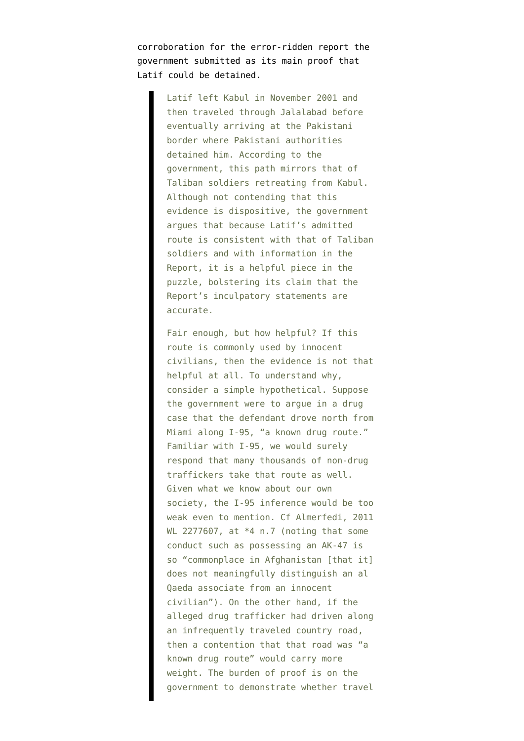corroboration for the error-ridden report the government submitted as its main proof that Latif could be detained.

> Latif left Kabul in November 2001 and then traveled through Jalalabad before eventually arriving at the Pakistani border where Pakistani authorities detained him. According to the government, this path mirrors that of Taliban soldiers retreating from Kabul. Although not contending that this evidence is dispositive, the government argues that because Latif's admitted route is consistent with that of Taliban soldiers and with information in the Report, it is a helpful piece in the puzzle, bolstering its claim that the Report's inculpatory statements are accurate.

> Fair enough, but how helpful? If this route is commonly used by innocent civilians, then the evidence is not that helpful at all. To understand why, consider a simple hypothetical. Suppose the government were to argue in a drug case that the defendant drove north from Miami along I-95, "a known drug route." Familiar with I-95, we would surely respond that many thousands of non-drug traffickers take that route as well. Given what we know about our own society, the I-95 inference would be too weak even to mention. Cf Almerfedi, 2011 WL 2277607, at \*4 n.7 (noting that some conduct such as possessing an AK-47 is so "commonplace in Afghanistan [that it] does not meaningfully distinguish an al Qaeda associate from an innocent civilian"). On the other hand, if the alleged drug trafficker had driven along an infrequently traveled country road, then a contention that that road was "a known drug route" would carry more weight. The burden of proof is on the government to demonstrate whether travel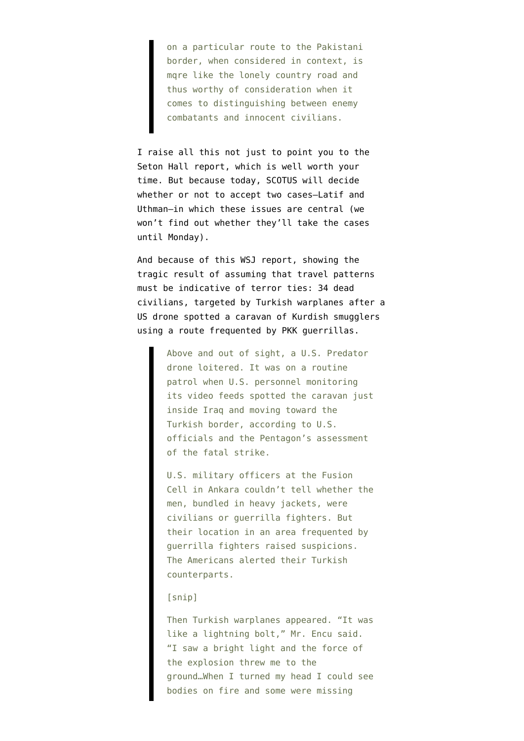on a particular route to the Pakistani border, when considered in context, is mqre like the lonely country road and thus worthy of consideration when it comes to distinguishing between enemy combatants and innocent civilians.

I raise all this not just to point you to the Seton Hall report, which is well worth your time. But because today, SCOTUS will decide whether or not to accept two cases–Latif and Uthman–in which these issues are central (we won't find out whether they'll take the cases until Monday).

And because of this [WSJ report,](http://online.wsj.com/article/SB10001424052702303877604577380480677575646.html) showing the tragic result of assuming that travel patterns must be indicative of terror ties: 34 dead civilians, targeted by Turkish warplanes after a US drone spotted a caravan of Kurdish smugglers using a route frequented by PKK guerrillas.

> Above and out of sight, a U.S. Predator drone loitered. It was on a routine patrol when U.S. personnel monitoring its video feeds spotted the caravan just inside Iraq and moving toward the Turkish border, according to U.S. officials and the Pentagon's assessment of the fatal strike.

> U.S. military officers at the Fusion Cell in Ankara couldn't tell whether the men, bundled in heavy jackets, were civilians or guerrilla fighters. But their location in an area frequented by guerrilla fighters raised suspicions. The Americans alerted their Turkish counterparts.

#### [snip]

Then Turkish warplanes appeared. "It was like a lightning bolt," Mr. Encu said. "I saw a bright light and the force of the explosion threw me to the ground…When I turned my head I could see bodies on fire and some were missing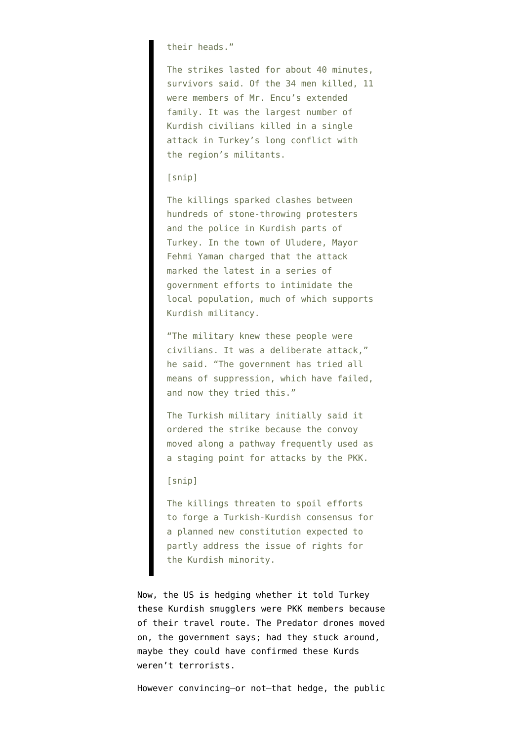### their heads."

The strikes lasted for about 40 minutes, survivors said. Of the 34 men killed, 11 were members of Mr. Encu's extended family. It was the largest number of Kurdish civilians killed in a single attack in Turkey's long conflict with the region's militants.

## [snip]

The killings sparked clashes between hundreds of stone-throwing protesters and the police in Kurdish parts of Turkey. In the town of Uludere, Mayor Fehmi Yaman charged that the attack marked the latest in a series of government efforts to intimidate the local population, much of which supports Kurdish militancy.

"The military knew these people were civilians. It was a deliberate attack," he said. "The government has tried all means of suppression, which have failed, and now they tried this."

The Turkish military initially said it ordered the strike because the convoy moved along a pathway frequently used as a staging point for attacks by the PKK.

## [snip]

The killings threaten to spoil efforts to forge a Turkish-Kurdish consensus for a planned new constitution expected to partly address the issue of rights for the Kurdish minority.

Now, the US is hedging whether it told Turkey these Kurdish smugglers were PKK members because of their travel route. The Predator drones moved on, the government says; had they stuck around, maybe they could have confirmed these Kurds weren't terrorists.

However convincing–or not–that hedge, the public